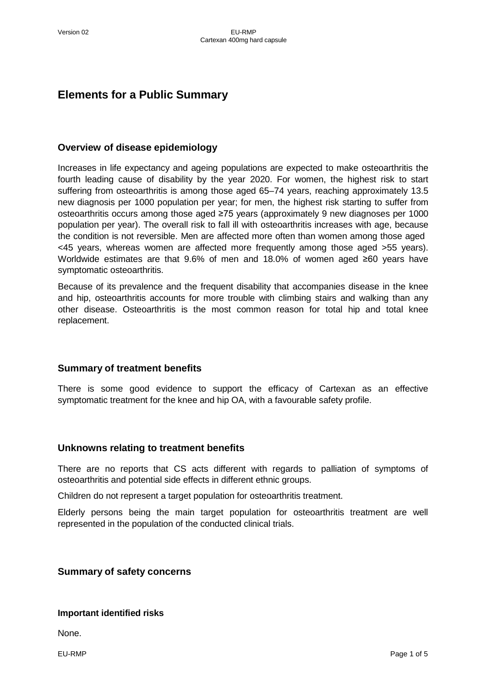# **Elements for a Public Summary**

#### **Overview of disease epidemiology**

Increases in life expectancy and ageing populations are expected to make osteoarthritis the fourth leading cause of disability by the year 2020. For women, the highest risk to start suffering from osteoarthritis is among those aged 65–74 years, reaching approximately 13.5 new diagnosis per 1000 population per year; for men, the highest risk starting to suffer from osteoarthritis occurs among those aged ≥75 years (approximately 9 new diagnoses per 1000 population per year). The overall risk to fall ill with osteoarthritis increases with age, because the condition is not reversible. Men are affected more often than women among those aged <45 years, whereas women are affected more frequently among those aged >55 years). Worldwide estimates are that 9.6% of men and 18.0% of women aged ≥60 years have symptomatic osteoarthritis.

Because of its prevalence and the frequent disability that accompanies disease in the knee and hip, osteoarthritis accounts for more trouble with climbing stairs and walking than any other disease. Osteoarthritis is the most common reason for total hip and total knee replacement.

### **Summary of treatment benefits**

There is some good evidence to support the efficacy of Cartexan as an effective symptomatic treatment for the knee and hip OA, with a favourable safety profile.

### **Unknowns relating to treatment benefits**

There are no reports that CS acts different with regards to palliation of symptoms of osteoarthritis and potential side effects in different ethnic groups.

Children do not represent a target population for osteoarthritis treatment.

Elderly persons being the main target population for osteoarthritis treatment are well represented in the population of the conducted clinical trials.

### **Summary of safety concerns**

#### **Important identified risks**

None.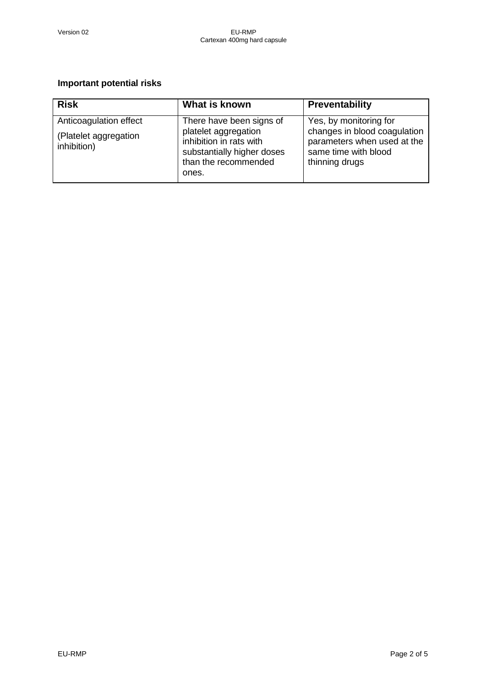### **Important potential risks**

| <b>Risk</b>                          | What is known                                                                                                  | Preventability                                                                                        |
|--------------------------------------|----------------------------------------------------------------------------------------------------------------|-------------------------------------------------------------------------------------------------------|
| Anticoagulation effect               | There have been signs of                                                                                       | Yes, by monitoring for                                                                                |
| (Platelet aggregation<br>inhibition) | platelet aggregation<br>inhibition in rats with<br>substantially higher doses<br>than the recommended<br>ones. | changes in blood coagulation<br>parameters when used at the<br>same time with blood<br>thinning drugs |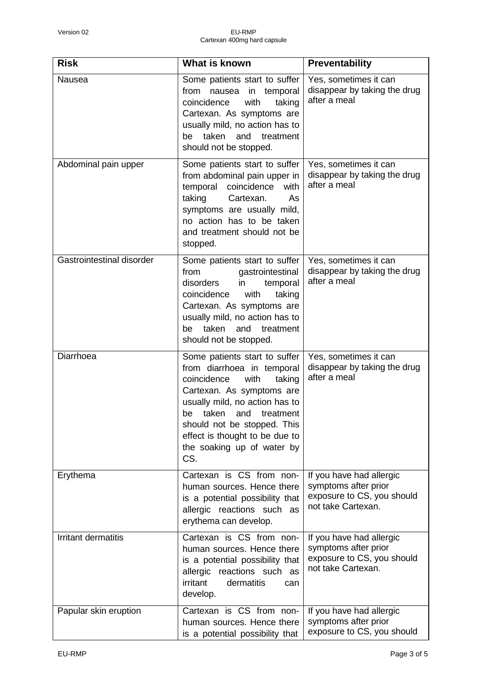| <b>Risk</b>               | What is known                                                                                                                                                                                                                                                                                        | <b>Preventability</b>                                                                                |
|---------------------------|------------------------------------------------------------------------------------------------------------------------------------------------------------------------------------------------------------------------------------------------------------------------------------------------------|------------------------------------------------------------------------------------------------------|
| Nausea                    | Some patients start to suffer<br>from<br>nausea<br>in temporal<br>coincidence<br>with<br>taking<br>Cartexan. As symptoms are<br>usually mild, no action has to<br>taken<br>and<br>treatment<br>be<br>should not be stopped.                                                                          | Yes, sometimes it can<br>disappear by taking the drug<br>after a meal                                |
| Abdominal pain upper      | Some patients start to suffer<br>from abdominal pain upper in<br>temporal coincidence<br>with<br>taking<br>Cartexan.<br>As<br>symptoms are usually mild,<br>no action has to be taken<br>and treatment should not be<br>stopped.                                                                     | Yes, sometimes it can<br>disappear by taking the drug<br>after a meal                                |
| Gastrointestinal disorder | Some patients start to suffer<br>gastrointestinal<br>from<br>disorders<br>in<br>temporal<br>coincidence<br>with<br>taking<br>Cartexan. As symptoms are<br>usually mild, no action has to<br>taken<br>and<br>treatment<br>be<br>should not be stopped.                                                | Yes, sometimes it can<br>disappear by taking the drug<br>after a meal                                |
| Diarrhoea                 | Some patients start to suffer<br>from diarrhoea in temporal<br>coincidence<br>with<br>taking<br>Cartexan. As symptoms are<br>usually mild, no action has to<br>taken<br>and<br>treatment<br>be<br>should not be stopped. This<br>effect is thought to be due to<br>the soaking up of water by<br>CS. | Yes, sometimes it can<br>disappear by taking the drug<br>after a meal                                |
| Erythema                  | Cartexan is CS from non-<br>human sources. Hence there<br>is a potential possibility that<br>allergic reactions such as<br>erythema can develop.                                                                                                                                                     | If you have had allergic<br>symptoms after prior<br>exposure to CS, you should<br>not take Cartexan. |
| Irritant dermatitis       | Cartexan is CS from non-<br>human sources. Hence there<br>is a potential possibility that<br>allergic reactions such as<br>irritant<br>dermatitis<br>can<br>develop.                                                                                                                                 | If you have had allergic<br>symptoms after prior<br>exposure to CS, you should<br>not take Cartexan. |
| Papular skin eruption     | Cartexan is CS from non-<br>human sources. Hence there<br>is a potential possibility that                                                                                                                                                                                                            | If you have had allergic<br>symptoms after prior<br>exposure to CS, you should                       |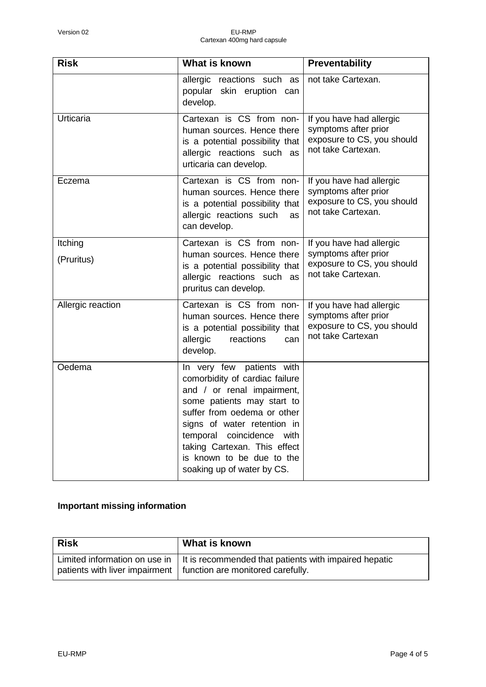| <b>Risk</b>           | What is known                                                                                                                                                                                                                                                                                                    | <b>Preventability</b>                                                                                |
|-----------------------|------------------------------------------------------------------------------------------------------------------------------------------------------------------------------------------------------------------------------------------------------------------------------------------------------------------|------------------------------------------------------------------------------------------------------|
|                       | allergic reactions such as<br>popular skin eruption can<br>develop.                                                                                                                                                                                                                                              | not take Cartexan.                                                                                   |
| Urticaria             | Cartexan is CS from non-<br>human sources. Hence there<br>is a potential possibility that<br>allergic reactions such as<br>urticaria can develop.                                                                                                                                                                | If you have had allergic<br>symptoms after prior<br>exposure to CS, you should<br>not take Cartexan. |
| Eczema                | Cartexan is CS from non-<br>human sources. Hence there<br>is a potential possibility that<br>allergic reactions such<br>as<br>can develop.                                                                                                                                                                       | If you have had allergic<br>symptoms after prior<br>exposure to CS, you should<br>not take Cartexan. |
| Itching<br>(Pruritus) | Cartexan is CS from non-<br>human sources. Hence there<br>is a potential possibility that<br>allergic reactions such as<br>pruritus can develop.                                                                                                                                                                 | If you have had allergic<br>symptoms after prior<br>exposure to CS, you should<br>not take Cartexan. |
| Allergic reaction     | Cartexan is CS from non-<br>human sources. Hence there<br>is a potential possibility that<br>allergic<br>reactions<br>can<br>develop.                                                                                                                                                                            | If you have had allergic<br>symptoms after prior<br>exposure to CS, you should<br>not take Cartexan  |
| Oedema                | In very few patients with<br>comorbidity of cardiac failure<br>and / or renal impairment,<br>some patients may start to<br>suffer from oedema or other<br>signs of water retention in<br>temporal coincidence<br>with<br>taking Cartexan. This effect<br>is known to be due to the<br>soaking up of water by CS. |                                                                                                      |

## **Important missing information**

| <b>Risk</b> | What is known                                                                                                                                                         |
|-------------|-----------------------------------------------------------------------------------------------------------------------------------------------------------------------|
|             | Limited information on use in $\parallel$ It is recommended that patients with impaired hepatic<br>patients with liver impairment   function are monitored carefully. |